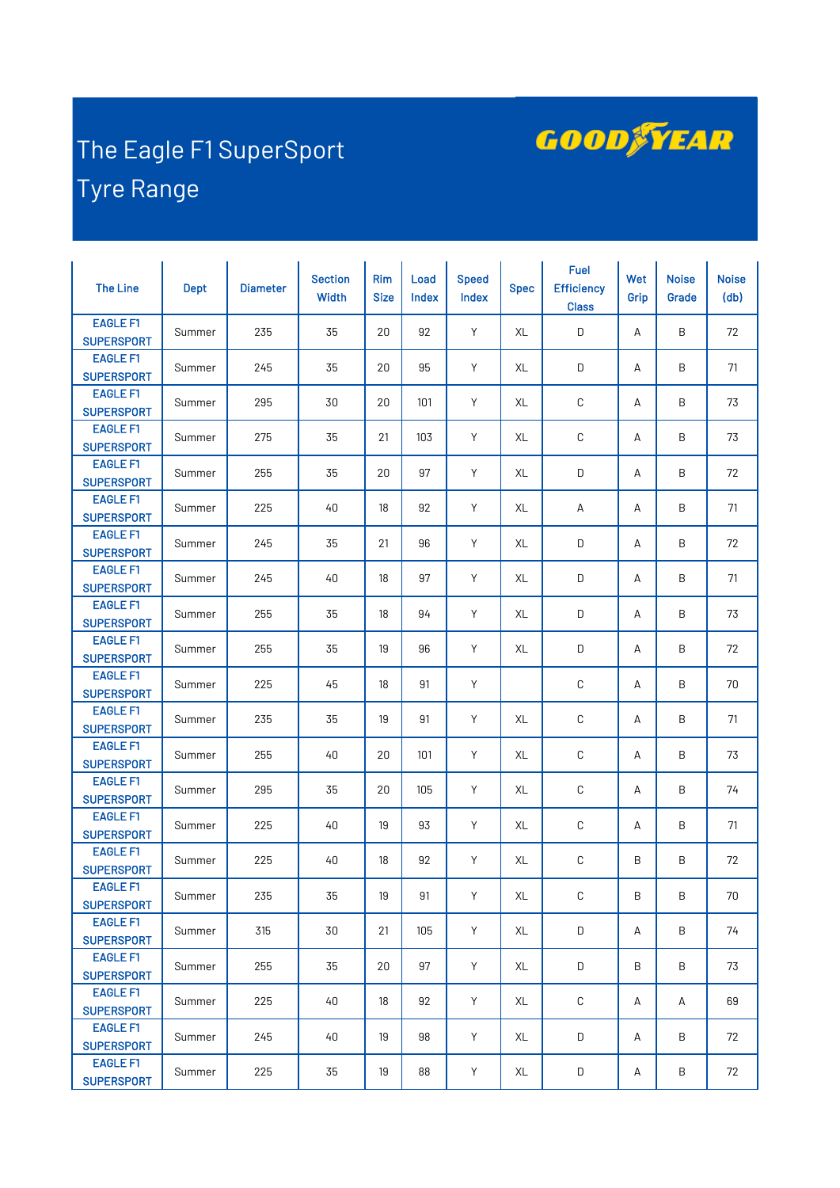

## The Eagle F1 SuperSport Tyre Range

| <b>The Line</b>                      | <b>Dept</b> | <b>Diameter</b> | <b>Section</b><br>Width | <b>Rim</b><br><b>Size</b> | Load<br>Index | <b>Speed</b><br>Index | <b>Spec</b> | <b>Fuel</b><br><b>Efficiency</b><br><b>Class</b> | Wet<br>Grip | <b>Noise</b><br>Grade | <b>Noise</b><br>(d <sub>b</sub> ) |
|--------------------------------------|-------------|-----------------|-------------------------|---------------------------|---------------|-----------------------|-------------|--------------------------------------------------|-------------|-----------------------|-----------------------------------|
| <b>EAGLE F1</b><br><b>SUPERSPORT</b> | Summer      | 235             | 35                      | 20                        | 92            | Y                     | XL          | D                                                | А           | B                     | 72                                |
| <b>EAGLE F1</b><br><b>SUPERSPORT</b> | Summer      | 245             | 35                      | 20                        | 95            | Y                     | XL          | D                                                | А           | B                     | 71                                |
| <b>EAGLE F1</b><br><b>SUPERSPORT</b> | Summer      | 295             | 30                      | 20                        | 101           | Y                     | XL          | C                                                | А           | B                     | 73                                |
| <b>EAGLE F1</b><br><b>SUPERSPORT</b> | Summer      | 275             | 35                      | 21                        | 103           | Y                     | XL          | С                                                | А           | B                     | 73                                |
| <b>EAGLE F1</b><br><b>SUPERSPORT</b> | Summer      | 255             | 35                      | 20                        | 97            | Y                     | XL          | D                                                | А           | B                     | 72                                |
| <b>EAGLE F1</b><br><b>SUPERSPORT</b> | Summer      | 225             | 40                      | 18                        | 92            | Y                     | XL          | А                                                | А           | B                     | 71                                |
| <b>EAGLE F1</b><br><b>SUPERSPORT</b> | Summer      | 245             | 35                      | 21                        | 96            | Y                     | XL          | D                                                | А           | B                     | 72                                |
| <b>EAGLE F1</b><br><b>SUPERSPORT</b> | Summer      | 245             | 40                      | 18                        | 97            | Y                     | XL          | D                                                | А           | Β                     | 71                                |
| <b>EAGLE F1</b><br><b>SUPERSPORT</b> | Summer      | 255             | 35                      | 18                        | 94            | Y                     | XL          | D                                                | А           | B                     | 73                                |
| <b>EAGLE F1</b><br><b>SUPERSPORT</b> | Summer      | 255             | 35                      | 19                        | 96            | Y                     | XL          | D                                                | А           | B                     | 72                                |
| <b>EAGLE F1</b><br><b>SUPERSPORT</b> | Summer      | 225             | 45                      | 18                        | 91            | Y                     |             | C                                                | А           | Β                     | 70                                |
| <b>EAGLE F1</b><br><b>SUPERSPORT</b> | Summer      | 235             | 35                      | 19                        | 91            | Y                     | XL          | C                                                | А           | B                     | 71                                |
| <b>EAGLE F1</b><br><b>SUPERSPORT</b> | Summer      | 255             | 40                      | 20                        | 101           | Y                     | XL          | С                                                | А           | B                     | 73                                |
| <b>EAGLE F1</b><br><b>SUPERSPORT</b> | Summer      | 295             | 35                      | 20                        | 105           | Y                     | XL          | C                                                | А           | Β                     | 74                                |
| <b>EAGLE F1</b><br><b>SUPERSPORT</b> | Summer      | 225             | 40                      | 19                        | 93            | Y                     | XL          | C                                                | А           | B                     | 71                                |
| <b>EAGLE F1</b><br><b>SUPERSPORT</b> | Summer      | 225             | 40                      | 18                        | 92            | Y                     | XL          | C                                                | B           | B                     | 72                                |
| <b>EAGLE F1</b><br><b>SUPERSPORT</b> | Summer      | 235             | 35                      | 19                        | 91            | Y                     | XL          | C                                                | Β           | B                     | 70                                |
| <b>EAGLE F1</b><br><b>SUPERSPORT</b> | Summer      | 315             | 30                      | 21                        | 105           | Y                     | XL          | D                                                | А           | B                     | 74                                |
| <b>EAGLE F1</b><br><b>SUPERSPORT</b> | Summer      | 255             | 35                      | 20                        | 97            | Y                     | XL          | D                                                | B           | B                     | 73                                |
| <b>EAGLE F1</b><br><b>SUPERSPORT</b> | Summer      | 225             | 40                      | 18                        | 92            | Y                     | XL          | C                                                | А           | А                     | 69                                |
| <b>EAGLE F1</b><br><b>SUPERSPORT</b> | Summer      | 245             | 40                      | 19                        | 98            | Y                     | XL          | D                                                | А           | B                     | 72                                |
| <b>EAGLE F1</b><br><b>SUPERSPORT</b> | Summer      | 225             | 35                      | 19                        | 88            | Y                     | XL          | D                                                | А           | Β                     | 72                                |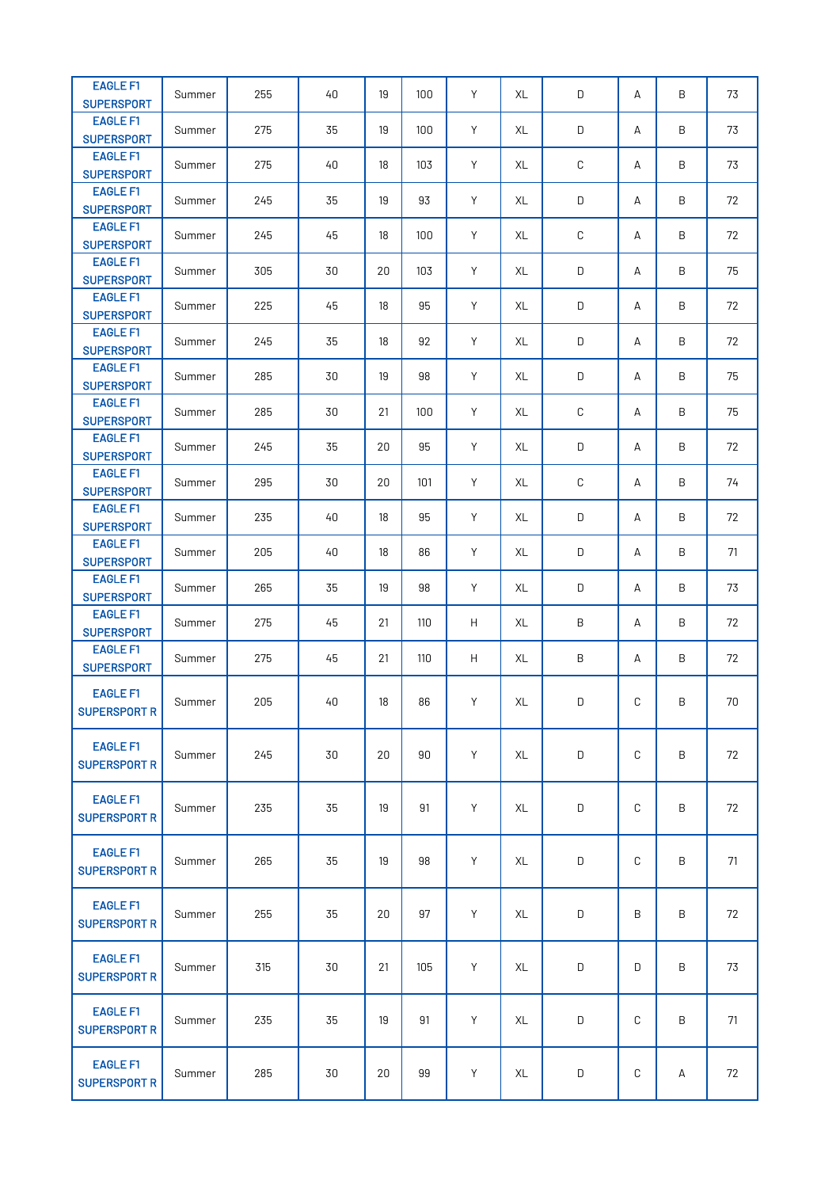| <b>EAGLE F1</b><br><b>SUPERSPORT</b>   | Summer | 255 | 40 | 19 | 100 | Y | XL | D           | А | B | 73 |
|----------------------------------------|--------|-----|----|----|-----|---|----|-------------|---|---|----|
| <b>EAGLE F1</b><br><b>SUPERSPORT</b>   | Summer | 275 | 35 | 19 | 100 | Y | XL | D           | А | B | 73 |
| <b>EAGLE F1</b><br><b>SUPERSPORT</b>   | Summer | 275 | 40 | 18 | 103 | Y | XL | C           | А | B | 73 |
| <b>EAGLE F1</b>                        | Summer | 245 | 35 | 19 | 93  | Y | XL | D           | А | B | 72 |
| <b>SUPERSPORT</b><br><b>EAGLE F1</b>   | Summer | 245 | 45 | 18 | 100 | Y | XL | C           | А | B | 72 |
| <b>SUPERSPORT</b><br><b>EAGLE F1</b>   | Summer | 305 | 30 | 20 | 103 | Y | XL | D           | А | B | 75 |
| <b>SUPERSPORT</b><br><b>EAGLE F1</b>   | Summer | 225 | 45 | 18 | 95  | Y | XL | D           | А | Β | 72 |
| <b>SUPERSPORT</b><br><b>EAGLE F1</b>   | Summer | 245 | 35 | 18 | 92  | Y | XL | D           | А | B | 72 |
| <b>SUPERSPORT</b><br><b>EAGLE F1</b>   | Summer | 285 | 30 | 19 | 98  | Y | XL | D           | А | B | 75 |
| <b>SUPERSPORT</b><br><b>EAGLE F1</b>   | Summer | 285 | 30 | 21 | 100 | Y | XL | $\mathbb C$ | А | B | 75 |
| <b>SUPERSPORT</b><br><b>EAGLE F1</b>   | Summer | 245 | 35 | 20 | 95  | Y | XL | D           | А | B | 72 |
| <b>SUPERSPORT</b><br><b>EAGLE F1</b>   | Summer | 295 | 30 | 20 | 101 | Y | XL | C           | А | B | 74 |
| <b>SUPERSPORT</b><br><b>EAGLE F1</b>   | Summer | 235 | 40 | 18 | 95  | Y | XL | D           | А | Β | 72 |
| <b>SUPERSPORT</b><br><b>EAGLE F1</b>   |        | 205 |    |    |     | Y |    | D           |   |   | 71 |
| <b>SUPERSPORT</b><br><b>EAGLE F1</b>   | Summer |     | 40 | 18 | 86  |   | XL |             | А | B |    |
| <b>SUPERSPORT</b><br><b>EAGLE F1</b>   | Summer | 265 | 35 | 19 | 98  | Y | XL | D           | А | B | 73 |
| <b>SUPERSPORT</b><br><b>EAGLE F1</b>   | Summer | 275 | 45 | 21 | 110 | H | XL | B           | А | B | 72 |
| <b>SUPERSPORT</b>                      | Summer | 275 | 45 | 21 | 110 | H | XL | B           | А | B | 72 |
| <b>EAGLE F1</b><br><b>SUPERSPORT R</b> | Summer | 205 | 40 | 18 | 86  | Y | XL | D           | С | B | 70 |
| <b>EAGLE F1</b><br><b>SUPERSPORT R</b> | Summer | 245 | 30 | 20 | 90  | Y | XL | D           | C | B | 72 |
| <b>EAGLE F1</b><br><b>SUPERSPORT R</b> | Summer | 235 | 35 | 19 | 91  | Y | XL | D           | C | B | 72 |
| <b>EAGLE F1</b><br><b>SUPERSPORT R</b> | Summer | 265 | 35 | 19 | 98  | Y | XL | D           | C | B | 71 |
| <b>EAGLE F1</b><br><b>SUPERSPORT R</b> | Summer | 255 | 35 | 20 | 97  | Y | XL | D           | B | B | 72 |
| <b>EAGLE F1</b><br><b>SUPERSPORT R</b> | Summer | 315 | 30 | 21 | 105 | Y | XL | D           | D | Β | 73 |
| <b>EAGLE F1</b><br><b>SUPERSPORT R</b> | Summer | 235 | 35 | 19 | 91  | Y | XL | D           | C | Β | 71 |
| <b>EAGLE F1</b><br><b>SUPERSPORT R</b> | Summer | 285 | 30 | 20 | 99  | Υ | XL | D           | С | А | 72 |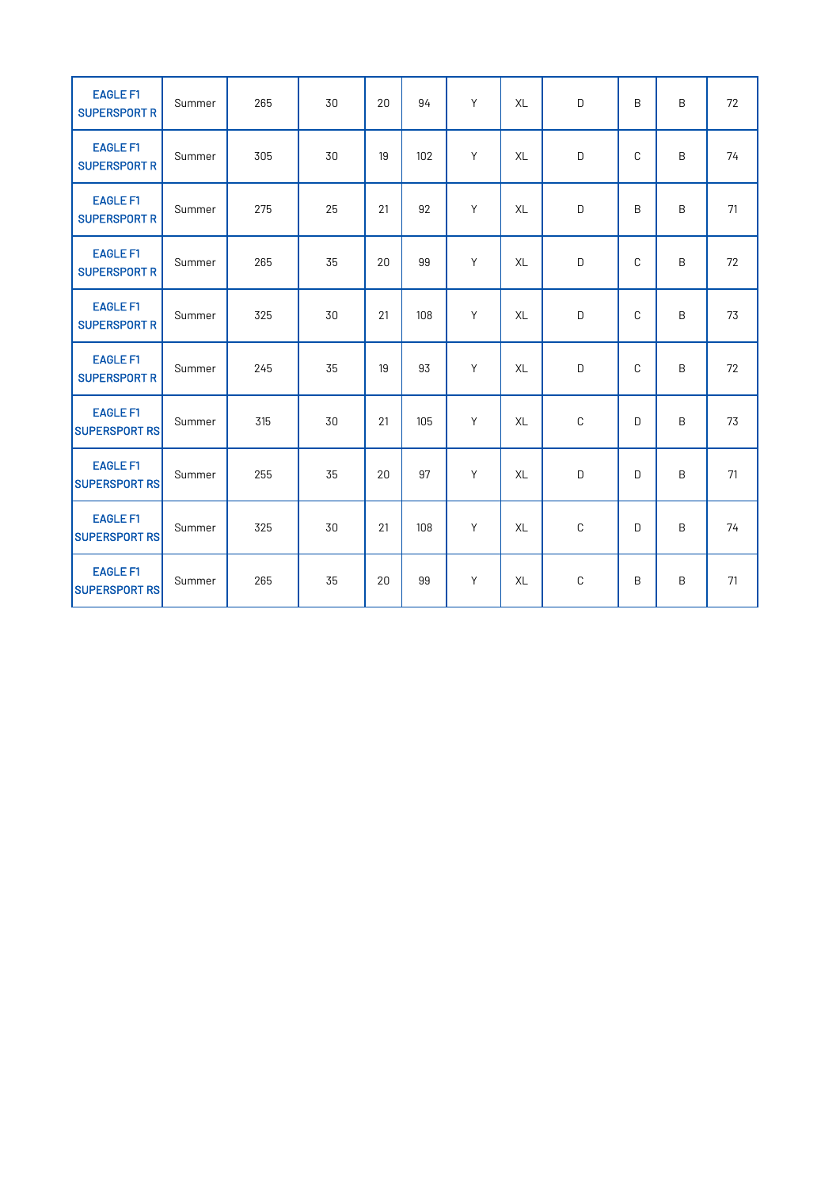| <b>EAGLE F1</b><br><b>SUPERSPORT R</b>  | Summer | 265 | 30 | 20 | 94  | Y | XL        | $\mathsf D$  | B | B | 72 |
|-----------------------------------------|--------|-----|----|----|-----|---|-----------|--------------|---|---|----|
| <b>EAGLE F1</b><br><b>SUPERSPORT R</b>  | Summer | 305 | 30 | 19 | 102 | Y | XL        | D            | C | B | 74 |
| <b>EAGLE F1</b><br><b>SUPERSPORT R</b>  | Summer | 275 | 25 | 21 | 92  | Y | XL        | D            | B | B | 71 |
| <b>EAGLE F1</b><br><b>SUPERSPORT R</b>  | Summer | 265 | 35 | 20 | 99  | Y | XL        | D            | C | B | 72 |
| <b>EAGLE F1</b><br><b>SUPERSPORT R</b>  | Summer | 325 | 30 | 21 | 108 | Y | XL        | D            | C | B | 73 |
| <b>EAGLE F1</b><br><b>SUPERSPORT R</b>  | Summer | 245 | 35 | 19 | 93  | Y | <b>XL</b> | D            | C | B | 72 |
| <b>EAGLE F1</b><br><b>SUPERSPORT RS</b> | Summer | 315 | 30 | 21 | 105 | Y | XL        | $\mathbb C$  | D | B | 73 |
| <b>EAGLE F1</b><br><b>SUPERSPORT RS</b> | Summer | 255 | 35 | 20 | 97  | Y | <b>XL</b> | D            | D | B | 71 |
| <b>EAGLE F1</b><br><b>SUPERSPORT RS</b> | Summer | 325 | 30 | 21 | 108 | Y | <b>XL</b> | $\mathbb C$  | D | B | 74 |
| <b>EAGLE F1</b><br><b>SUPERSPORT RS</b> | Summer | 265 | 35 | 20 | 99  | Y | XL        | $\mathsf{C}$ | B | B | 71 |